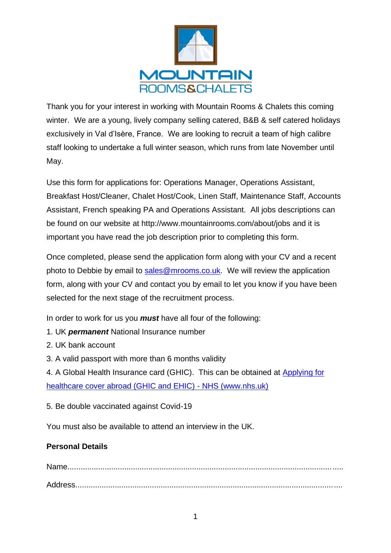

Thank you for your interest in working with Mountain Rooms & Chalets this coming winter. We are a young, lively company selling catered, B&B & self catered holidays exclusively in Val d'Isère, France. We are looking to recruit a team of high calibre staff looking to undertake a full winter season, which runs from late November until May.

Use this form for applications for: Operations Manager, Operations Assistant, Breakfast Host/Cleaner, Chalet Host/Cook, Linen Staff, Maintenance Staff, Accounts Assistant, French speaking PA and Operations Assistant. All jobs descriptions can be found on our website at http://www.mountainrooms.com/about/jobs and it is important you have read the job description prior to completing this form.

Once completed, please send the application form along with your CV and a recent photo to Debbie by email to [sales@mrooms.co.uk.](mailto:sales@mrooms.co.uk) We will review the application form, along with your CV and contact you by email to let you know if you have been selected for the next stage of the recruitment process.

In order to work for us you *must* have all four of the following:

- 1. UK *permanent* National Insurance number
- 2. UK bank account
- 3. A valid passport with more than 6 months validity

4. A Global Health Insurance card (GHIC). This can be obtained at [Applying for](https://www.nhs.uk/using-the-nhs/healthcare-abroad/apply-for-a-free-uk-global-health-insurance-card-ghic/)  [healthcare cover abroad \(GHIC and EHIC\) -](https://www.nhs.uk/using-the-nhs/healthcare-abroad/apply-for-a-free-uk-global-health-insurance-card-ghic/) NHS (www.nhs.uk)

5. Be double vaccinated against Covid-19

You must also be available to attend an interview in the UK.

# **Personal Details**

Name.............................................................................................................................. Address..........................................................................................................................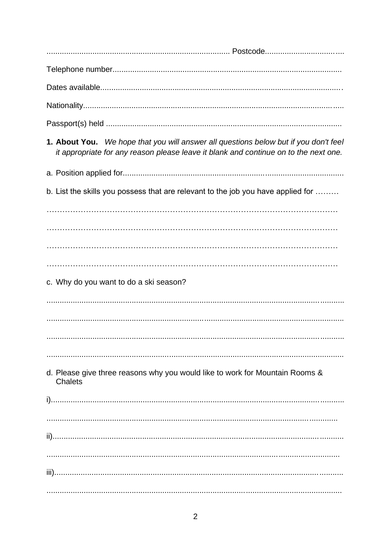| 1. About You. We hope that you will answer all questions below but if you don't feel<br>it appropriate for any reason please leave it blank and continue on to the next one. |
|------------------------------------------------------------------------------------------------------------------------------------------------------------------------------|
|                                                                                                                                                                              |
| b. List the skills you possess that are relevant to the job you have applied for                                                                                             |
|                                                                                                                                                                              |
|                                                                                                                                                                              |
|                                                                                                                                                                              |
|                                                                                                                                                                              |
| c. Why do you want to do a ski season?                                                                                                                                       |
|                                                                                                                                                                              |
|                                                                                                                                                                              |
|                                                                                                                                                                              |
|                                                                                                                                                                              |
| d. Please give three reasons why you would like to work for Mountain Rooms &<br><b>Chalets</b>                                                                               |
|                                                                                                                                                                              |
|                                                                                                                                                                              |
|                                                                                                                                                                              |
|                                                                                                                                                                              |
|                                                                                                                                                                              |
|                                                                                                                                                                              |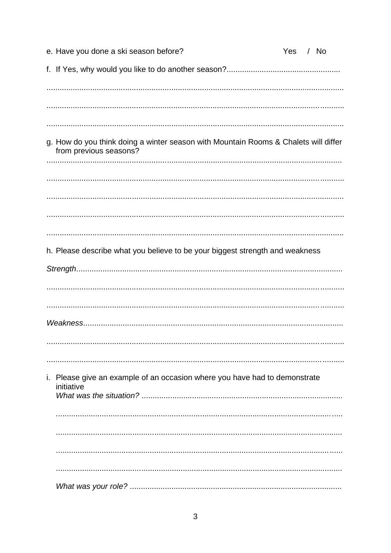| e. Have you done a ski season before?                                                                         | Yes / No |  |
|---------------------------------------------------------------------------------------------------------------|----------|--|
|                                                                                                               |          |  |
|                                                                                                               |          |  |
|                                                                                                               |          |  |
|                                                                                                               |          |  |
| g. How do you think doing a winter season with Mountain Rooms & Chalets will differ<br>from previous seasons? |          |  |
|                                                                                                               |          |  |
|                                                                                                               |          |  |
|                                                                                                               |          |  |
|                                                                                                               |          |  |
|                                                                                                               |          |  |
| h. Please describe what you believe to be your biggest strength and weakness                                  |          |  |
|                                                                                                               |          |  |
|                                                                                                               |          |  |
|                                                                                                               |          |  |
|                                                                                                               |          |  |
|                                                                                                               |          |  |
|                                                                                                               |          |  |
| i. Please give an example of an occasion where you have had to demonstrate<br>initiative                      |          |  |
|                                                                                                               |          |  |
|                                                                                                               |          |  |
|                                                                                                               |          |  |
|                                                                                                               |          |  |
|                                                                                                               |          |  |
|                                                                                                               |          |  |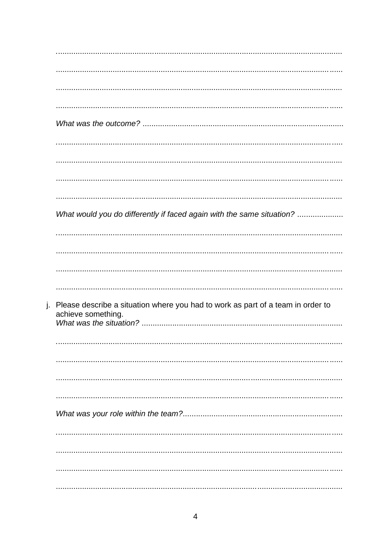| What would you do differently if faced again with the same situation?                                    |
|----------------------------------------------------------------------------------------------------------|
|                                                                                                          |
|                                                                                                          |
|                                                                                                          |
|                                                                                                          |
| j. Please describe a situation where you had to work as part of a team in order to<br>achieve something. |
|                                                                                                          |
|                                                                                                          |
|                                                                                                          |
|                                                                                                          |
|                                                                                                          |
|                                                                                                          |
|                                                                                                          |
|                                                                                                          |
|                                                                                                          |
|                                                                                                          |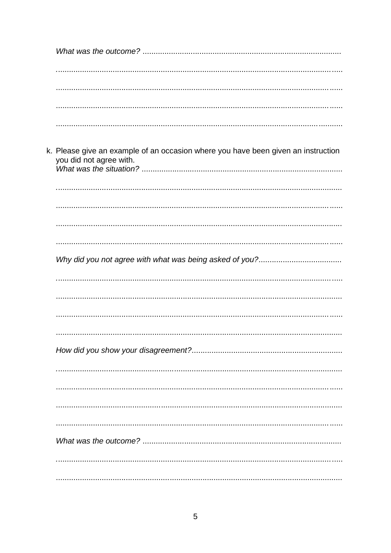| k. Please give an example of an occasion where you have been given an instruction<br>you did not agree with. |
|--------------------------------------------------------------------------------------------------------------|
|                                                                                                              |
|                                                                                                              |
|                                                                                                              |
|                                                                                                              |
|                                                                                                              |
|                                                                                                              |
|                                                                                                              |
|                                                                                                              |
|                                                                                                              |
|                                                                                                              |
|                                                                                                              |
|                                                                                                              |
|                                                                                                              |
|                                                                                                              |
|                                                                                                              |
|                                                                                                              |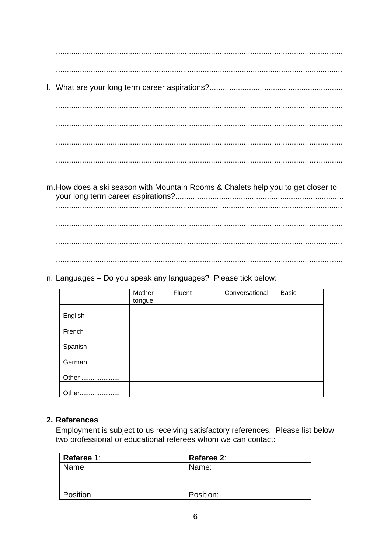m. How does a ski season with Mountain Rooms & Chalets help you to get closer to 

n. Languages - Do you speak any languages? Please tick below:

|         | Mother<br>tongue | Fluent | Conversational | <b>Basic</b> |
|---------|------------------|--------|----------------|--------------|
| English |                  |        |                |              |
| French  |                  |        |                |              |
| Spanish |                  |        |                |              |
| German  |                  |        |                |              |
| Other   |                  |        |                |              |
| Other.  |                  |        |                |              |

# 2. References

Employment is subject to us receiving satisfactory references. Please list below two professional or educational referees whom we can contact:

| Referee 1: | Referee 2: |
|------------|------------|
| Name:      | Name:      |
|            |            |
|            |            |
| Position:  | Position:  |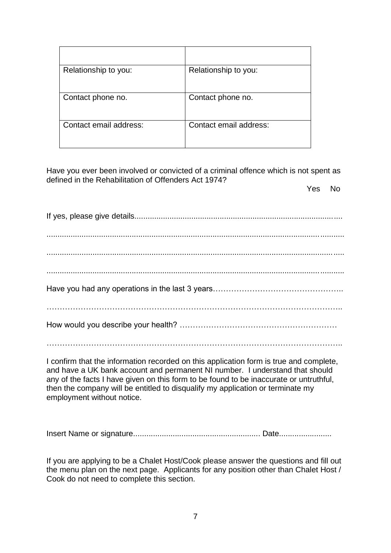| Relationship to you:   | Relationship to you:   |
|------------------------|------------------------|
| Contact phone no.      | Contact phone no.      |
| Contact email address: | Contact email address: |

Have you ever been involved or convicted of a criminal offence which is not spent as defined in the Rehabilitation of Offenders Act 1974?

Yes No

I confirm that the information recorded on this application form is true and complete, and have a UK bank account and permanent NI number. I understand that should any of the facts I have given on this form to be found to be inaccurate or untruthful, then the company will be entitled to disqualify my application or terminate my employment without notice.

Insert Name or signature.......................................................... Date........................

If you are applying to be a Chalet Host/Cook please answer the questions and fill out the menu plan on the next page. Applicants for any position other than Chalet Host / Cook do not need to complete this section.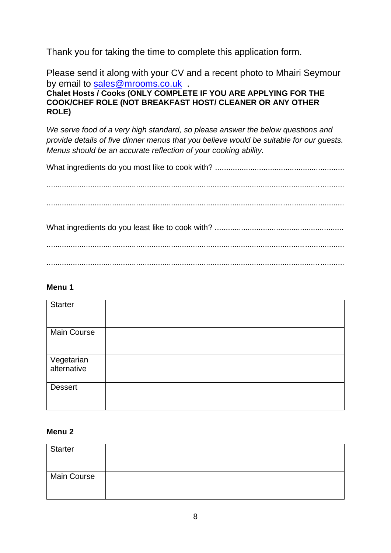Thank you for taking the time to complete this application form.

Please send it along with your CV and a recent photo to Mhairi Seymour by email to [sales@mrooms.co.uk](mailto:sales@mrooms.co.uk) .

**Chalet Hosts / Cooks (ONLY COMPLETE IF YOU ARE APPLYING FOR THE COOK/CHEF ROLE (NOT BREAKFAST HOST/ CLEANER OR ANY OTHER ROLE)**

*We serve food of a very high standard, so please answer the below questions and provide details of five dinner menus that you believe would be suitable for our guests. Menus should be an accurate reflection of your cooking ability.* 

What ingredients do you most like to cook with? ...........................................................

........................................................................................................................................ ........................................................................................................................................ What ingredients do you least like to cook with? ........................................................... ........................................................................................................................................ ........................................................................................................................................

#### **Menu 1**

| <b>Starter</b>            |  |
|---------------------------|--|
| <b>Main Course</b>        |  |
| Vegetarian<br>alternative |  |
| <b>Dessert</b>            |  |

#### **Menu 2**

| <b>Starter</b>     |  |
|--------------------|--|
| <b>Main Course</b> |  |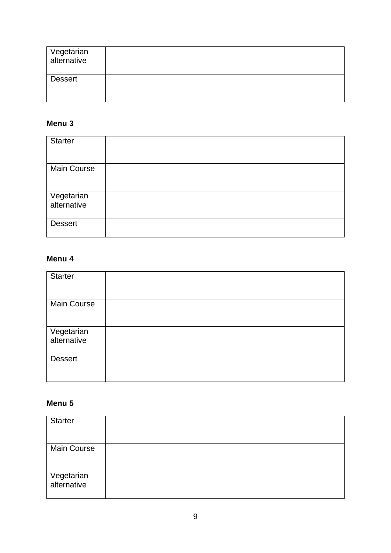| Vegetarian<br>alternative |  |
|---------------------------|--|
| <b>Dessert</b>            |  |

# **Menu 3**

| <b>Starter</b>            |  |
|---------------------------|--|
| <b>Main Course</b>        |  |
| Vegetarian<br>alternative |  |
| <b>Dessert</b>            |  |

# **Menu 4**

| <b>Starter</b>            |  |
|---------------------------|--|
| <b>Main Course</b>        |  |
| Vegetarian<br>alternative |  |
| <b>Dessert</b>            |  |

# **Menu 5**

| <b>Starter</b>            |  |
|---------------------------|--|
|                           |  |
| <b>Main Course</b>        |  |
|                           |  |
| Vegetarian<br>alternative |  |
|                           |  |
|                           |  |